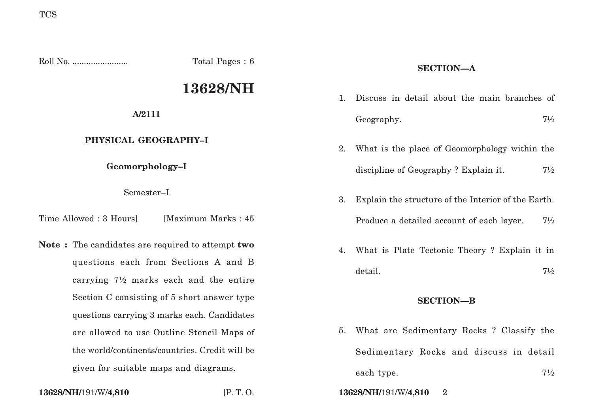Roll No. ........................ Total Pages : 6

# **13628/NH**

**A/2111**

## **PHYSICAL GEOGRAPHY–I**

**Geomorphology–I**

Semester–I

Time Allowed : 3 Hours [Maximum Marks : 45]

**Note :** The candidates are required to attempt **two** questions each from Sections A and B carrying 7½ marks each and the entire Section C consisting of 5 short answer type questions carrying 3 marks each. Candidates are allowed to use Outline Stencil Maps of the world/continents/countries. Credit will be given for suitable maps and diagrams.

# **SECTION—A**

- 1. Discuss in detail about the main branches of Geography. 71/2
- 2. What is the place of Geomorphology within the discipline of Geography ? Explain it.  $7\frac{1}{2}$
- 3. Explain the structure of the Interior of the Earth. Produce a detailed account of each layer. 71/2
- 4. What is Plate Tectonic Theory ? Explain it in detail. 7½

## **SECTION—B**

5. What are Sedimentary Rocks ? Classify the Sedimentary Rocks and discuss in detail each type.  $7\frac{1}{2}$ 

**13628/NH/**191/W/**4,810** [P. T. O. **13628/NH/**191/W/**4,810** 2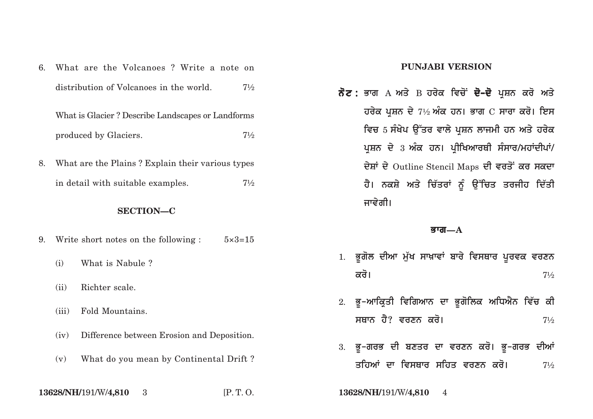| 6.               | What are the Volcanoes? Write a note on           |                                                        |                |
|------------------|---------------------------------------------------|--------------------------------------------------------|----------------|
|                  |                                                   | distribution of Volcanoes in the world.                | $7\frac{1}{2}$ |
|                  | What is Glacier? Describe Landscapes or Landforms |                                                        |                |
|                  |                                                   | produced by Glaciers.                                  | $7\frac{1}{2}$ |
| 8.               | What are the Plains? Explain their various types  |                                                        |                |
|                  |                                                   | in detail with suitable examples.                      | $7\frac{1}{2}$ |
| <b>SECTION-C</b> |                                                   |                                                        |                |
| 9.               |                                                   | Write short notes on the following : $5 \times 3 = 15$ |                |
|                  | (i)                                               | What is Nabule?                                        |                |
|                  | (ii)                                              | Richter scale.                                         |                |
|                  | (iii)                                             | Fold Mountains.                                        |                |
|                  | (iv)                                              | Difference between Erosion and Deposition.             |                |
|                  | (v)                                               | What do you mean by Continental Drift?                 |                |
|                  |                                                   |                                                        |                |

**13628/NH/**191/W/**4,810**

#### **PUNJABI VERSION**

**ਨੋਟ :** ਭਾਗ А ਅਤੇ В ਹਰੇਕ ਵਿਚੋਂ **ਦੋ–ਦੋ** ਪੁਸ਼ਨ ਕਰੋ ਅਤੇ ਹਰੇਕ ਪ੍ਰਸ਼ਨ ਦੇ 7½ ਅੰਕ ਹਨ। ਭਾਗ C ਸਾਰਾ ਕਰੋ। ਇਸ ਵਿਚ 5 ਸੰਖੇਪ ਉੱਤਰ ਵਾਲੇ ਪੁਸ਼ਨ ਲਾਜਮੀ ਹਨ ਅਤੇ ਹਰੇਕ ਪ੍ਰਸ਼ਨ ਦੇ 3 ਅੰਕ ਹਨ। ਪ੍ਰੀਖਿਆਰਥੀ ਸੰਸਾਰ/ਮਹਾਂਦੀਪਾਂ/ ਦੇਸ਼ਾਂ ਦੇ Outline Stencil Maps ਦੀ ਵਰਤੋਂ ਕਰ ਸਕਦਾ ਹੈ। ਨਕਸ਼ੇ ਅਤੇ ਚਿੱਤਰਾਂ ਨੂੰ ਉੱਚਿਤ ਤਰਜੀਹ ਦਿੱਤੀ ਜਾਵੇਗੀ।

#### **Bwg—A**

- 1. ਭੂਗੋਲ ਦੀਆ ਮੁੱਖ ਸਾਖ਼ਾਵਾਂ ਬਾਰੇ ਵਿਸਥਾਰ ਪੂਰਵਕ ਵਰਣਨ  $\overline{\mathbf{a}}$ ਚੋ।  $7\frac{1}{2}$
- 2. ਭੂ–ਆਕ੍ਰਿਤੀ ਵਿਗਿਆਨ ਦਾ ਭੂਗੋਲਿਕ ਅਧਿਐਨ ਵਿੱਚ ਕੀ ਸਥਾਨ ਹੈ? ਵਰਣਨ ਕਰੋ। <u>11</u>/2
- 3. ਭੁ-ਗਰਭ ਦੀ ਬਣਤਰ ਦਾ ਵਰਣਨ ਕਰੋ। ਭੁ-ਗਰਭ ਦੀਆਂ ਤਹਿਆਂ ਦਾ ਵਿਸਥਾਰ ਸਹਿਤ ਵਰਣਨ ਕਰੋ। *1½*

3 [P. T. O. **13628/NH/**191/W/**4,810** 4